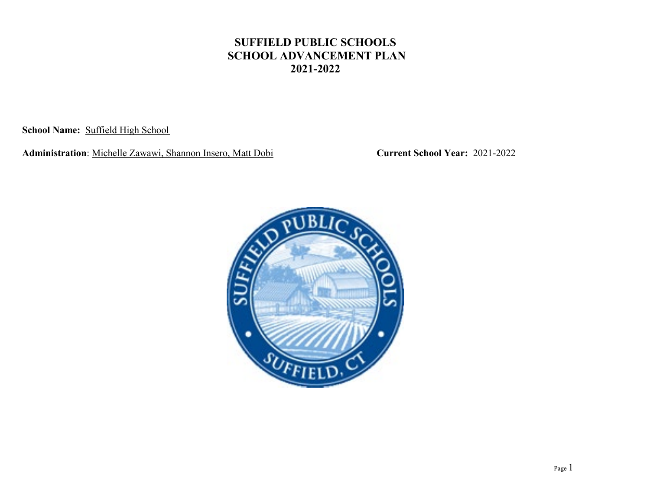**School Name:** Suffield High School

**Administration**: Michelle Zawawi, Shannon Insero, Matt Dobi **Current School Year:** 2021-2022

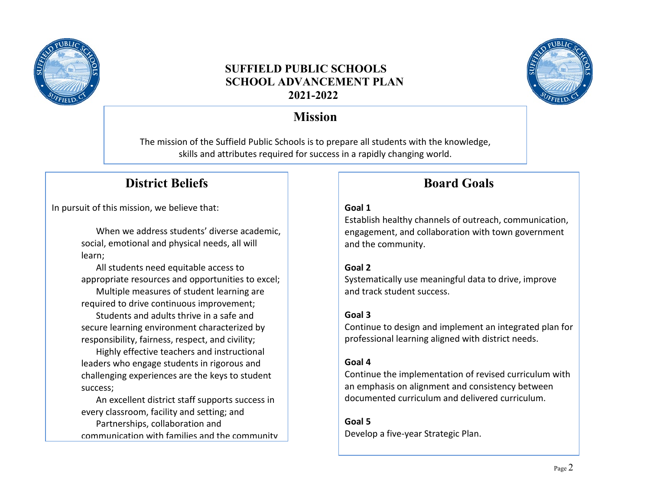



# **Mission**

The mission of the Suffield Public Schools is to prepare all students with the knowledge, skills and attributes required for success in a rapidly changing world.

# **District Beliefs**

In pursuit of this mission, we believe that:

When we address students' diverse academic, social, emotional and physical needs, all will learn;

All students need equitable access to appropriate resources and opportunities to excel; Multiple measures of student learning are

required to drive continuous improvement; Students and adults thrive in a safe and secure learning environment characterized by responsibility, fairness, respect, and civility;

Highly effective teachers and instructional leaders who engage students in rigorous and challenging experiences are the keys to student success;

An excellent district staff supports success in every classroom, facility and setting; and Partnerships, collaboration and communication with families and the community

# **Board Goals**

### **Goal 1**

Establish healthy channels of outreach, communication, engagement, and collaboration with town government and the community.

### **Goal 2**

Systematically use meaningful data to drive, improve and track student success.

### **Goal 3**

Continue to design and implement an integrated plan for professional learning aligned with district needs.

### **Goal 4**

Continue the implementation of revised curriculum with an emphasis on alignment and consistency between documented curriculum and delivered curriculum.

**Goal 5** Develop a five-year Strategic Plan.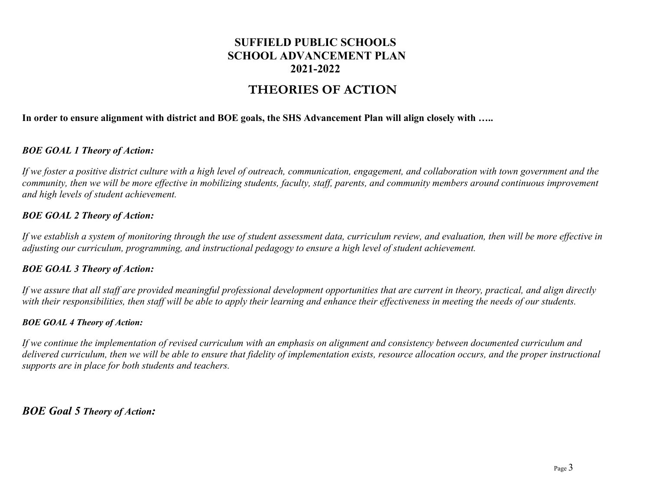## **THEORIES OF ACTION**

#### **In order to ensure alignment with district and BOE goals, the SHS Advancement Plan will align closely with …..**

#### *BOE GOAL 1 Theory of Action:*

*If we foster a positive district culture with a high level of outreach, communication, engagement, and collaboration with town government and the community, then we will be more effective in mobilizing students, faculty, staff, parents, and community members around continuous improvement and high levels of student achievement.*

#### *BOE GOAL 2 Theory of Action:*

*If we establish a system of monitoring through the use of student assessment data, curriculum review, and evaluation, then will be more effective in adjusting our curriculum, programming, and instructional pedagogy to ensure a high level of student achievement.*

#### *BOE GOAL 3 Theory of Action:*

*If we assure that all staff are provided meaningful professional development opportunities that are current in theory, practical, and align directly with their responsibilities, then staff will be able to apply their learning and enhance their effectiveness in meeting the needs of our students.*

#### *BOE GOAL 4 Theory of Action:*

*If we continue the implementation of revised curriculum with an emphasis on alignment and consistency between documented curriculum and delivered curriculum, then we will be able to ensure that fidelity of implementation exists, resource allocation occurs, and the proper instructional supports are in place for both students and teachers.*

*BOE Goal 5 Theory of Action:*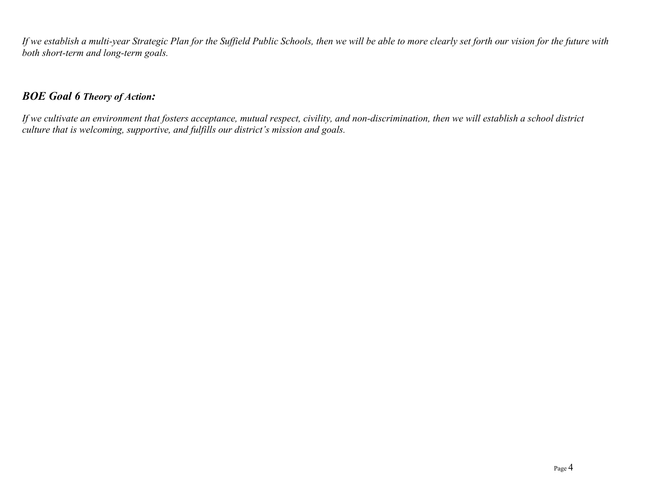*If we establish a multi-year Strategic Plan for the Suffield Public Schools, then we will be able to more clearly set forth our vision for the future with both short-term and long-term goals.*

### *BOE Goal 6 Theory of Action:*

*If we cultivate an environment that fosters acceptance, mutual respect, civility, and non-discrimination, then we will establish a school district culture that is welcoming, supportive, and fulfills our district's mission and goals.*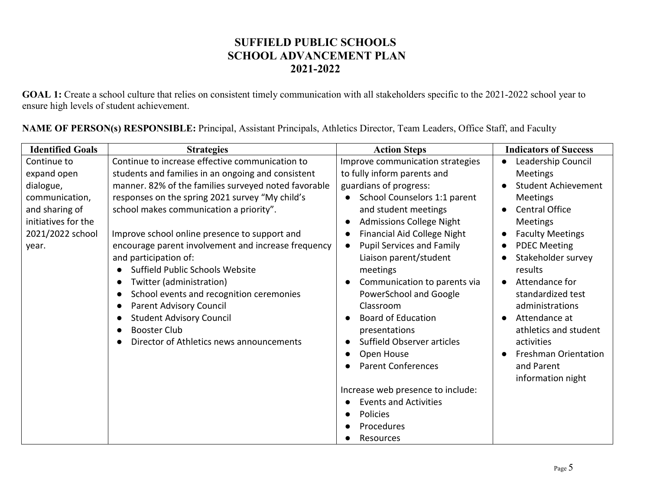GOAL 1: Create a school culture that relies on consistent timely communication with all stakeholders specific to the 2021-2022 school year to ensure high levels of student achievement.

| NAME OF PERSON(s) RESPONSIBLE: Principal, Assistant Principals, Athletics Director, Team Leaders, Office Staff, and Faculty |  |  |  |
|-----------------------------------------------------------------------------------------------------------------------------|--|--|--|
|                                                                                                                             |  |  |  |

| <b>Identified Goals</b> | <b>Strategies</b>                                    | <b>Action Steps</b>                           | <b>Indicators of Success</b>         |
|-------------------------|------------------------------------------------------|-----------------------------------------------|--------------------------------------|
| Continue to             | Continue to increase effective communication to      | Improve communication strategies              | Leadership Council                   |
| expand open             | students and families in an ongoing and consistent   | to fully inform parents and                   | Meetings                             |
| dialogue,               | manner. 82% of the families surveyed noted favorable | guardians of progress:                        | <b>Student Achievement</b>           |
| communication,          | responses on the spring 2021 survey "My child's      | School Counselors 1:1 parent                  | <b>Meetings</b>                      |
| and sharing of          | school makes communication a priority".              | and student meetings                          | <b>Central Office</b>                |
| initiatives for the     |                                                      | <b>Admissions College Night</b>               | Meetings                             |
| 2021/2022 school        | Improve school online presence to support and        | Financial Aid College Night                   | <b>Faculty Meetings</b><br>$\bullet$ |
| year.                   | encourage parent involvement and increase frequency  | <b>Pupil Services and Family</b><br>$\bullet$ | <b>PDEC Meeting</b><br>$\bullet$     |
|                         | and participation of:                                | Liaison parent/student                        | Stakeholder survey                   |
|                         | Suffield Public Schools Website                      | meetings                                      | results                              |
|                         | Twitter (administration)                             | Communication to parents via                  | Attendance for<br>$\bullet$          |
|                         | School events and recognition ceremonies             | PowerSchool and Google                        | standardized test                    |
|                         | Parent Advisory Council                              | Classroom                                     | administrations                      |
|                         | <b>Student Advisory Council</b>                      | <b>Board of Education</b>                     | Attendance at                        |
|                         | <b>Booster Club</b>                                  | presentations                                 | athletics and student                |
|                         | Director of Athletics news announcements             | Suffield Observer articles                    | activities                           |
|                         |                                                      | Open House                                    | <b>Freshman Orientation</b>          |
|                         |                                                      | <b>Parent Conferences</b>                     | and Parent                           |
|                         |                                                      |                                               | information night                    |
|                         |                                                      | Increase web presence to include:             |                                      |
|                         |                                                      | <b>Events and Activities</b>                  |                                      |
|                         |                                                      | <b>Policies</b><br>$\epsilon$                 |                                      |
|                         |                                                      | Procedures                                    |                                      |
|                         |                                                      | Resources                                     |                                      |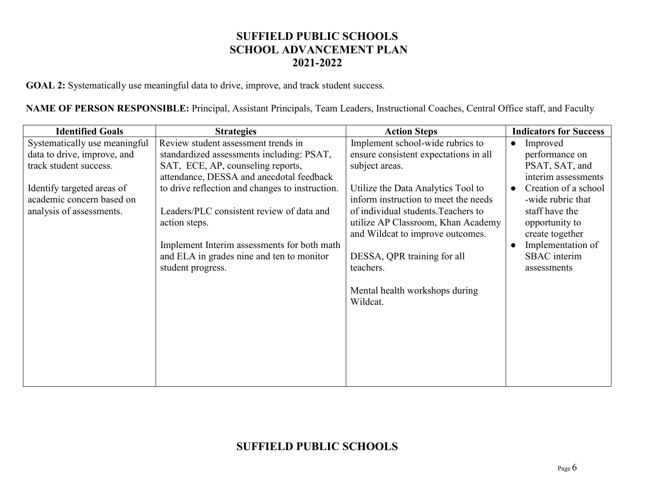GOAL 2: Systematically use meaningful data to drive, improve, and track student success.

**NAME OF PERSON RESPONSIBLE:** Principal, Assistant Principals, Team Leaders, Instructional Coaches, Central Office staff, and Faculty

| <b>Identified Goals</b>                                                             | <b>Strategies</b>                                                                                                                                                                                                              | <b>Action Steps</b>                                                                                                                                                                                                                                                                   | <b>Indicators for Success</b>                                                                                                                                            |
|-------------------------------------------------------------------------------------|--------------------------------------------------------------------------------------------------------------------------------------------------------------------------------------------------------------------------------|---------------------------------------------------------------------------------------------------------------------------------------------------------------------------------------------------------------------------------------------------------------------------------------|--------------------------------------------------------------------------------------------------------------------------------------------------------------------------|
| Systematically use meaningful                                                       | Review student assessment trends in                                                                                                                                                                                            | Implement school-wide rubrics to                                                                                                                                                                                                                                                      | Improved<br>$\bullet$                                                                                                                                                    |
| data to drive, improve, and                                                         | standardized assessments including: PSAT,                                                                                                                                                                                      | ensure consistent expectations in all                                                                                                                                                                                                                                                 | performance on                                                                                                                                                           |
| track student success.                                                              | SAT, ECE, AP, counseling reports,                                                                                                                                                                                              | subject areas.                                                                                                                                                                                                                                                                        | PSAT, SAT, and                                                                                                                                                           |
|                                                                                     | attendance, DESSA and anecdotal feedback                                                                                                                                                                                       |                                                                                                                                                                                                                                                                                       | interim assessments                                                                                                                                                      |
| Identify targeted areas of<br>academic concern based on<br>analysis of assessments. | to drive reflection and changes to instruction.<br>Leaders/PLC consistent review of data and<br>action steps.<br>Implement Interim assessments for both math<br>and ELA in grades nine and ten to monitor<br>student progress. | Utilize the Data Analytics Tool to<br>inform instruction to meet the needs<br>of individual students. Teachers to<br>utilize AP Classroom, Khan Academy<br>and Wildcat to improve outcomes.<br>DESSA, QPR training for all<br>teachers.<br>Mental health workshops during<br>Wildcat. | Creation of a school<br>-wide rubric that<br>staff have the<br>opportunity to<br>create together<br>Implementation of<br>$\bullet$<br><b>SBAC</b> interim<br>assessments |
|                                                                                     |                                                                                                                                                                                                                                |                                                                                                                                                                                                                                                                                       |                                                                                                                                                                          |
|                                                                                     |                                                                                                                                                                                                                                |                                                                                                                                                                                                                                                                                       |                                                                                                                                                                          |
|                                                                                     |                                                                                                                                                                                                                                |                                                                                                                                                                                                                                                                                       |                                                                                                                                                                          |

## **SUFFIELD PUBLIC SCHOOLS**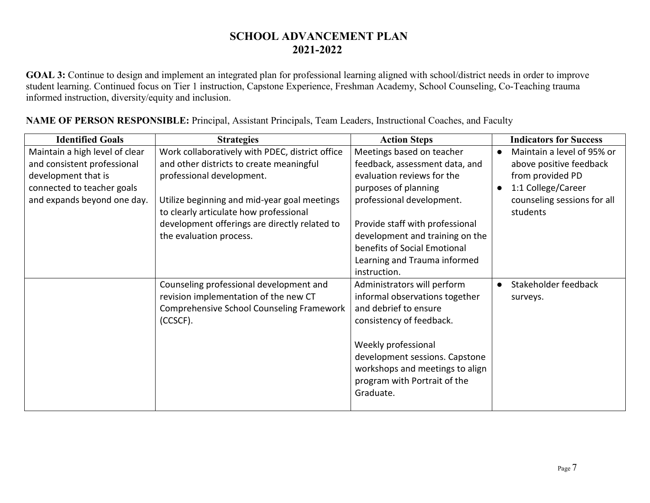## **SCHOOL ADVANCEMENT PLAN 2021-2022**

**GOAL 3:** Continue to design and implement an integrated plan for professional learning aligned with school/district needs in order to improve student learning. Continued focus on Tier 1 instruction, Capstone Experience, Freshman Academy, School Counseling, Co-Teaching trauma informed instruction, diversity/equity and inclusion.

| <b>Identified Goals</b>                                                                                                                           | <b>Strategies</b>                                                                                                                                                                                                                                                                              | <b>Action Steps</b>                                                                                                                                                                                                                                                                                  | <b>Indicators for Success</b>                                                                                                                           |
|---------------------------------------------------------------------------------------------------------------------------------------------------|------------------------------------------------------------------------------------------------------------------------------------------------------------------------------------------------------------------------------------------------------------------------------------------------|------------------------------------------------------------------------------------------------------------------------------------------------------------------------------------------------------------------------------------------------------------------------------------------------------|---------------------------------------------------------------------------------------------------------------------------------------------------------|
| Maintain a high level of clear<br>and consistent professional<br>development that is<br>connected to teacher goals<br>and expands beyond one day. | Work collaboratively with PDEC, district office<br>and other districts to create meaningful<br>professional development.<br>Utilize beginning and mid-year goal meetings<br>to clearly articulate how professional<br>development offerings are directly related to<br>the evaluation process. | Meetings based on teacher<br>feedback, assessment data, and<br>evaluation reviews for the<br>purposes of planning<br>professional development.<br>Provide staff with professional<br>development and training on the<br>benefits of Social Emotional<br>Learning and Trauma informed<br>instruction. | Maintain a level of 95% or<br>$\bullet$<br>above positive feedback<br>from provided PD<br>1:1 College/Career<br>counseling sessions for all<br>students |
|                                                                                                                                                   | Counseling professional development and<br>revision implementation of the new CT<br>Comprehensive School Counseling Framework<br>(CCSCF).                                                                                                                                                      | Administrators will perform<br>informal observations together<br>and debrief to ensure<br>consistency of feedback.<br>Weekly professional<br>development sessions. Capstone<br>workshops and meetings to align<br>program with Portrait of the<br>Graduate.                                          | Stakeholder feedback<br>surveys.                                                                                                                        |

**NAME OF PERSON RESPONSIBLE:** Principal, Assistant Principals, Team Leaders, Instructional Coaches, and Faculty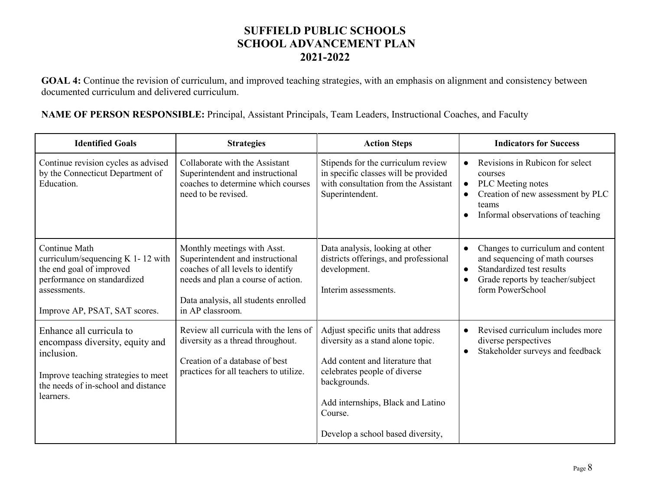GOAL 4: Continue the revision of curriculum, and improved teaching strategies, with an emphasis on alignment and consistency between documented curriculum and delivered curriculum.

**NAME OF PERSON RESPONSIBLE:** Principal, Assistant Principals, Team Leaders, Instructional Coaches, and Faculty

| <b>Identified Goals</b>                                                                                                                                              | <b>Strategies</b>                                                                                                                                                                                      | <b>Action Steps</b>                                                                                                                                                                                                                             | <b>Indicators for Success</b>                                                                                                                                                             |
|----------------------------------------------------------------------------------------------------------------------------------------------------------------------|--------------------------------------------------------------------------------------------------------------------------------------------------------------------------------------------------------|-------------------------------------------------------------------------------------------------------------------------------------------------------------------------------------------------------------------------------------------------|-------------------------------------------------------------------------------------------------------------------------------------------------------------------------------------------|
| Continue revision cycles as advised<br>by the Connecticut Department of<br>Education.                                                                                | Collaborate with the Assistant<br>Superintendent and instructional<br>coaches to determine which courses<br>need to be revised.                                                                        | Stipends for the curriculum review<br>in specific classes will be provided<br>with consultation from the Assistant<br>Superintendent.                                                                                                           | Revisions in Rubicon for select<br>$\bullet$<br>courses<br>PLC Meeting notes<br>$\bullet$<br>Creation of new assessment by PLC<br>teams<br>Informal observations of teaching<br>$\bullet$ |
| Continue Math<br>curriculum/sequencing K 1-12 with<br>the end goal of improved<br>performance on standardized<br>assessments.<br>Improve AP, PSAT, SAT scores.       | Monthly meetings with Asst.<br>Superintendent and instructional<br>coaches of all levels to identify<br>needs and plan a course of action.<br>Data analysis, all students enrolled<br>in AP classroom. | Data analysis, looking at other<br>districts offerings, and professional<br>development.<br>Interim assessments.                                                                                                                                | Changes to curriculum and content<br>$\bullet$<br>and sequencing of math courses<br>Standardized test results<br>Grade reports by teacher/subject<br>$\bullet$<br>form PowerSchool        |
| Enhance all curricula to<br>encompass diversity, equity and<br>inclusion.<br>Improve teaching strategies to meet<br>the needs of in-school and distance<br>learners. | Review all curricula with the lens of<br>diversity as a thread throughout.<br>Creation of a database of best<br>practices for all teachers to utilize.                                                 | Adjust specific units that address<br>diversity as a stand alone topic.<br>Add content and literature that<br>celebrates people of diverse<br>backgrounds.<br>Add internships, Black and Latino<br>Course.<br>Develop a school based diversity, | Revised curriculum includes more<br>$\bullet$<br>diverse perspectives<br>Stakeholder surveys and feedback<br>$\bullet$                                                                    |